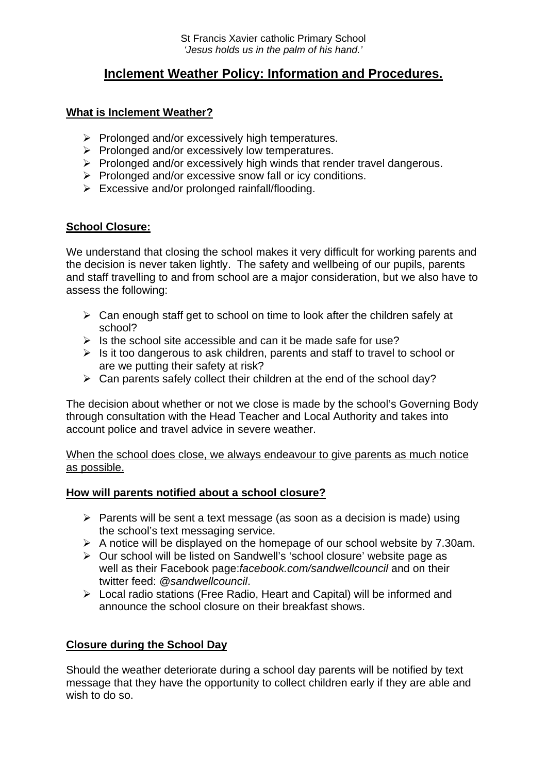# **Inclement Weather Policy: Information and Procedures.**

## **What is Inclement Weather?**

- $\triangleright$  Prolonged and/or excessively high temperatures.
- $\triangleright$  Prolonged and/or excessively low temperatures.
- $\triangleright$  Prolonged and/or excessively high winds that render travel dangerous.
- $\triangleright$  Prolonged and/or excessive snow fall or icy conditions.
- $\triangleright$  Excessive and/or prolonged rainfall/flooding.

## **School Closure:**

We understand that closing the school makes it very difficult for working parents and the decision is never taken lightly. The safety and wellbeing of our pupils, parents and staff travelling to and from school are a major consideration, but we also have to assess the following:

- $\triangleright$  Can enough staff get to school on time to look after the children safely at school?
- $\triangleright$  Is the school site accessible and can it be made safe for use?
- ¾ Is it too dangerous to ask children, parents and staff to travel to school or are we putting their safety at risk?
- $\triangleright$  Can parents safely collect their children at the end of the school day?

The decision about whether or not we close is made by the school's Governing Body through consultation with the Head Teacher and Local Authority and takes into account police and travel advice in severe weather.

When the school does close, we always endeavour to give parents as much notice as possible.

#### **How will parents notified about a school closure?**

- $\triangleright$  Parents will be sent a text message (as soon as a decision is made) using the school's text messaging service.
- $\triangleright$  A notice will be displayed on the homepage of our school website by 7.30am.
- ¾ Our school will be listed on Sandwell's 'school closure' website page as well as their Facebook page:*facebook.com/sandwellcouncil* and on their twitter feed: *@sandwellcouncil*.
- ¾ Local radio stations (Free Radio, Heart and Capital) will be informed and announce the school closure on their breakfast shows.

# **Closure during the School Day**

Should the weather deteriorate during a school day parents will be notified by text message that they have the opportunity to collect children early if they are able and wish to do so.